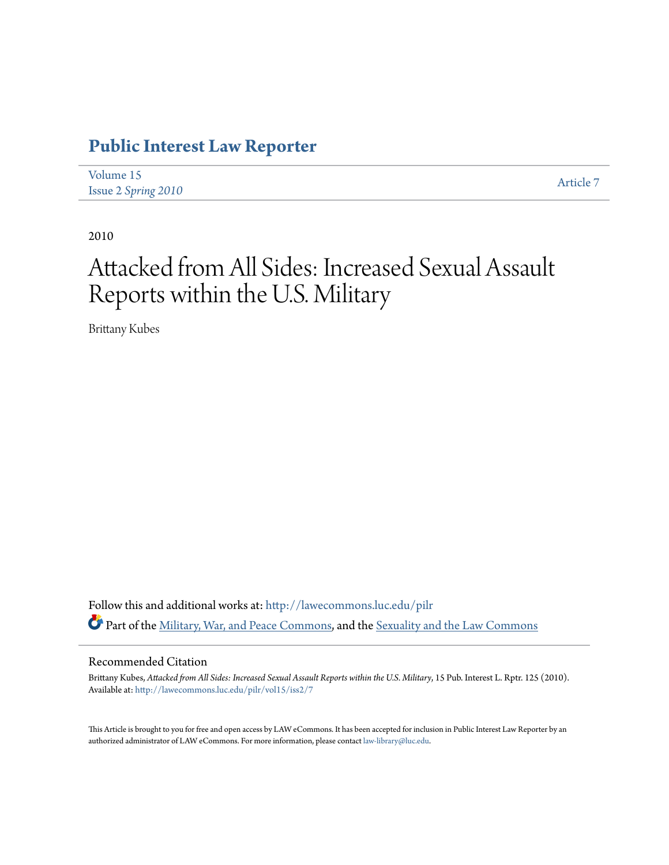### **[Public Interest Law Reporter](http://lawecommons.luc.edu/pilr?utm_source=lawecommons.luc.edu%2Fpilr%2Fvol15%2Fiss2%2F7&utm_medium=PDF&utm_campaign=PDFCoverPages)**

| Volume 15                  |  | Article 7 |
|----------------------------|--|-----------|
| <b>Issue 2 Spring 2010</b> |  |           |

2010

# Attacked from All Sides: Increased Sexual Assault Reports within the U.S. Military

Brittany Kubes

Follow this and additional works at: [http://lawecommons.luc.edu/pilr](http://lawecommons.luc.edu/pilr?utm_source=lawecommons.luc.edu%2Fpilr%2Fvol15%2Fiss2%2F7&utm_medium=PDF&utm_campaign=PDFCoverPages) Part of the [Military, War, and Peace Commons,](http://network.bepress.com/hgg/discipline/861?utm_source=lawecommons.luc.edu%2Fpilr%2Fvol15%2Fiss2%2F7&utm_medium=PDF&utm_campaign=PDFCoverPages) and the [Sexuality and the Law Commons](http://network.bepress.com/hgg/discipline/877?utm_source=lawecommons.luc.edu%2Fpilr%2Fvol15%2Fiss2%2F7&utm_medium=PDF&utm_campaign=PDFCoverPages)

#### Recommended Citation

Brittany Kubes, *Attacked from All Sides: Increased Sexual Assault Reports within the U.S. Military*, 15 Pub. Interest L. Rptr. 125 (2010). Available at: [http://lawecommons.luc.edu/pilr/vol15/iss2/7](http://lawecommons.luc.edu/pilr/vol15/iss2/7?utm_source=lawecommons.luc.edu%2Fpilr%2Fvol15%2Fiss2%2F7&utm_medium=PDF&utm_campaign=PDFCoverPages)

This Article is brought to you for free and open access by LAW eCommons. It has been accepted for inclusion in Public Interest Law Reporter by an authorized administrator of LAW eCommons. For more information, please contact [law-library@luc.edu.](mailto:law-library@luc.edu)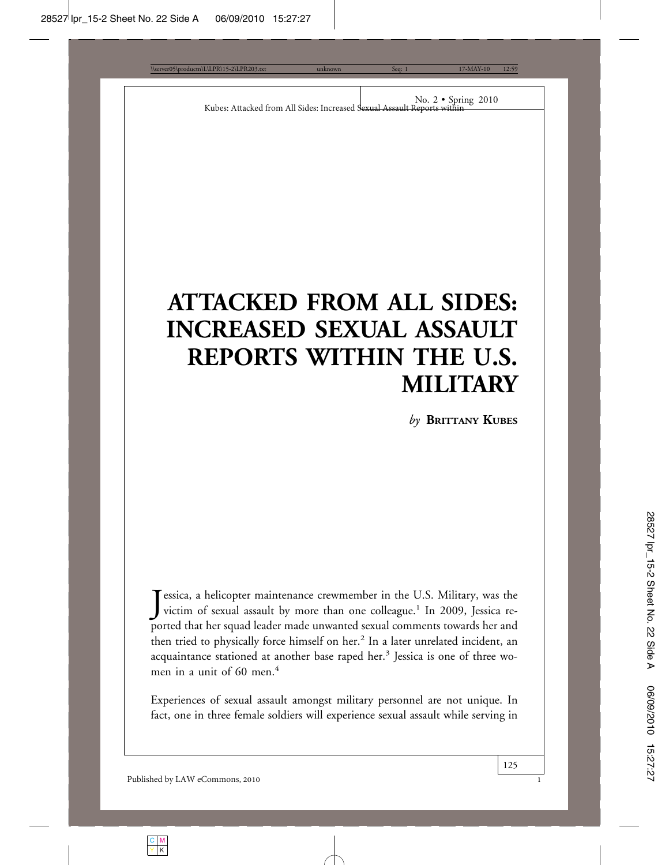# **ATTACKED FROM ALL SIDES: INCREASED SEXUAL ASSAULT REPORTS WITHIN THE U.S. MILITARY**

*by* **BRITTANY KUBES**

Jessica, a helicopter maintenance crewmember in the U.S. Military, was the victim of sexual assault by more than one colleague.<sup>1</sup> In 2009, Jessica revictim of sexual assault by more than one colleague.<sup>1</sup> In 2009, Jessica reported that her squad leader made unwanted sexual comments towards her and then tried to physically force himself on her.<sup>2</sup> In a later unrelated incident, an acquaintance stationed at another base raped her.<sup>3</sup> Jessica is one of three women in a unit of  $60$  men<sup> $4$ </sup>

Experiences of sexual assault amongst military personnel are not unique. In fact, one in three female soldiers will experience sexual assault while serving in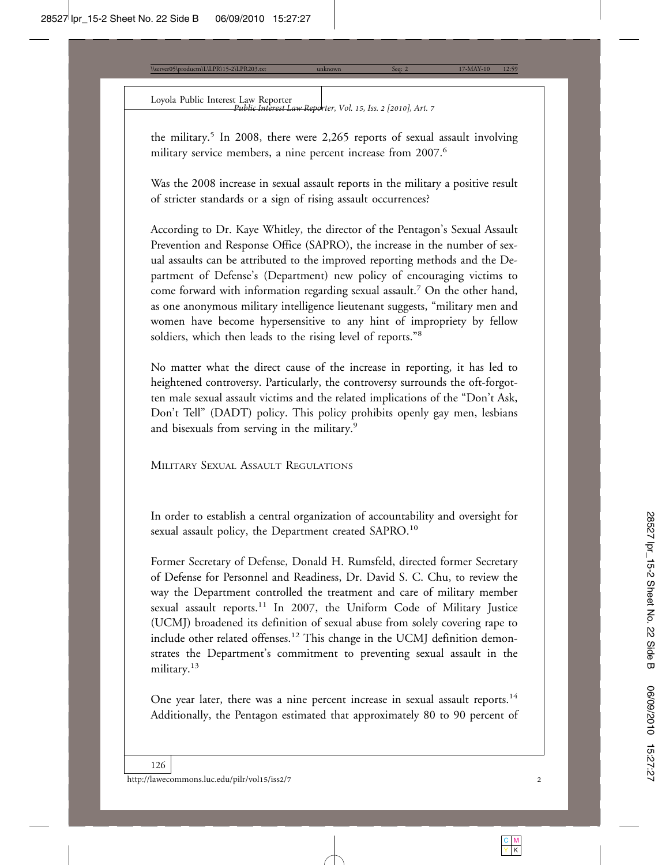Loyola Public Interest Law Reporter *Public Interest Law Reporter, Vol. 15, Iss. 2 [2010], Art. 7*

the military.<sup>5</sup> In 2008, there were 2,265 reports of sexual assault involving military service members, a nine percent increase from 2007.<sup>6</sup>

Was the 2008 increase in sexual assault reports in the military a positive result of stricter standards or a sign of rising assault occurrences?

According to Dr. Kaye Whitley, the director of the Pentagon's Sexual Assault Prevention and Response Office (SAPRO), the increase in the number of sexual assaults can be attributed to the improved reporting methods and the Department of Defense's (Department) new policy of encouraging victims to come forward with information regarding sexual assault.<sup>7</sup> On the other hand, as one anonymous military intelligence lieutenant suggests, "military men and women have become hypersensitive to any hint of impropriety by fellow soldiers, which then leads to the rising level of reports."<sup>8</sup>

No matter what the direct cause of the increase in reporting, it has led to heightened controversy. Particularly, the controversy surrounds the oft-forgotten male sexual assault victims and the related implications of the "Don't Ask, Don't Tell" (DADT) policy. This policy prohibits openly gay men, lesbians and bisexuals from serving in the military.<sup>9</sup>

MILITARY SEXUAL ASSAULT REGULATIONS

In order to establish a central organization of accountability and oversight for sexual assault policy, the Department created SAPRO.<sup>10</sup>

Former Secretary of Defense, Donald H. Rumsfeld, directed former Secretary of Defense for Personnel and Readiness, Dr. David S. C. Chu, to review the way the Department controlled the treatment and care of military member sexual assault reports.<sup>11</sup> In 2007, the Uniform Code of Military Justice (UCMJ) broadened its definition of sexual abuse from solely covering rape to include other related offenses.<sup>12</sup> This change in the UCMJ definition demonstrates the Department's commitment to preventing sexual assault in the military.13

One year later, there was a nine percent increase in sexual assault reports.<sup>14</sup> Additionally, the Pentagon estimated that approximately 80 to 90 percent of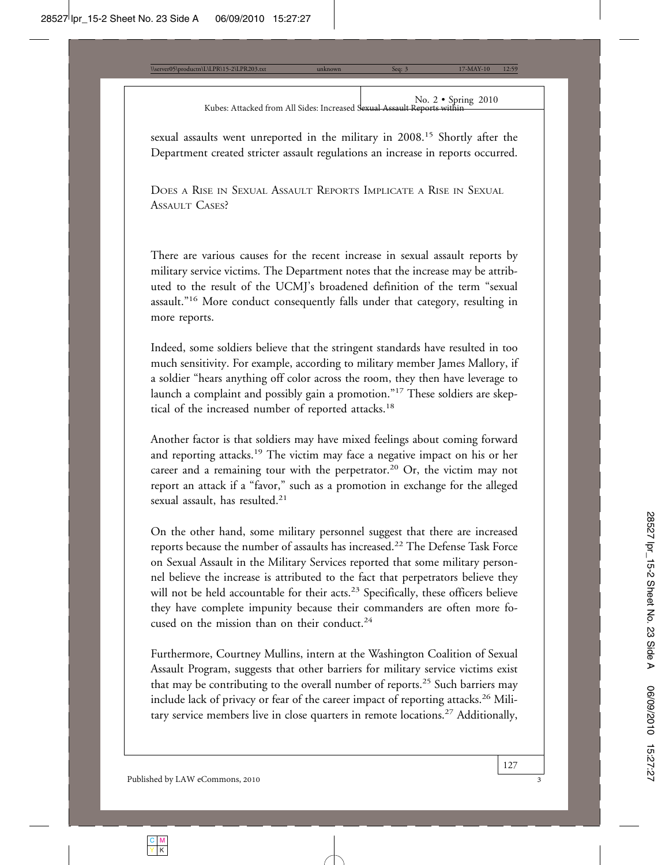### No. 2 • Spring 2010 Kubes: Attacked from All Sides: Increased Sexual Assault Reports within

sexual assaults went unreported in the military in 2008.15 Shortly after the Department created stricter assault regulations an increase in reports occurred.

DOES A RISE IN SEXUAL ASSAULT REPORTS IMPLICATE A RISE IN SEXUAL ASSAULT CASES?

There are various causes for the recent increase in sexual assault reports by military service victims. The Department notes that the increase may be attributed to the result of the UCMJ's broadened definition of the term "sexual assault."16 More conduct consequently falls under that category, resulting in more reports.

Indeed, some soldiers believe that the stringent standards have resulted in too much sensitivity. For example, according to military member James Mallory, if a soldier "hears anything off color across the room, they then have leverage to launch a complaint and possibly gain a promotion."17 These soldiers are skeptical of the increased number of reported attacks.<sup>18</sup>

Another factor is that soldiers may have mixed feelings about coming forward and reporting attacks.19 The victim may face a negative impact on his or her career and a remaining tour with the perpetrator.<sup>20</sup> Or, the victim may not report an attack if a "favor," such as a promotion in exchange for the alleged sexual assault, has resulted.<sup>21</sup>

On the other hand, some military personnel suggest that there are increased reports because the number of assaults has increased.22 The Defense Task Force on Sexual Assault in the Military Services reported that some military personnel believe the increase is attributed to the fact that perpetrators believe they will not be held accountable for their acts.<sup>23</sup> Specifically, these officers believe they have complete impunity because their commanders are often more focused on the mission than on their conduct.<sup>24</sup>

Furthermore, Courtney Mullins, intern at the Washington Coalition of Sexual Assault Program, suggests that other barriers for military service victims exist that may be contributing to the overall number of reports.25 Such barriers may include lack of privacy or fear of the career impact of reporting attacks.<sup>26</sup> Military service members live in close quarters in remote locations.<sup>27</sup> Additionally,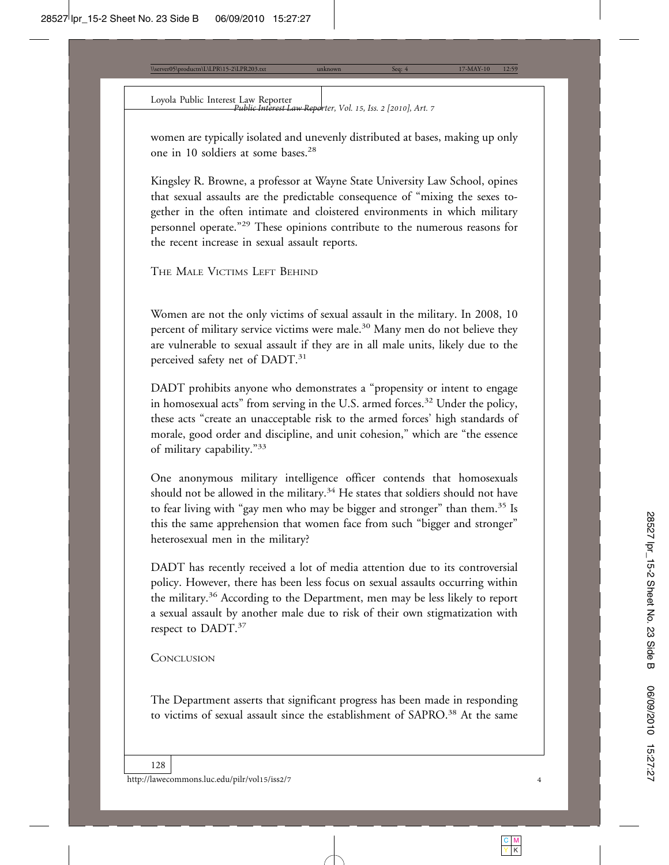Loyola Public Interest Law Reporter *Public Interest Law Reporter, Vol. 15, Iss. 2 [2010], Art. 7*

women are typically isolated and unevenly distributed at bases, making up only one in 10 soldiers at some bases.<sup>28</sup>

Kingsley R. Browne, a professor at Wayne State University Law School, opines that sexual assaults are the predictable consequence of "mixing the sexes together in the often intimate and cloistered environments in which military personnel operate."29 These opinions contribute to the numerous reasons for the recent increase in sexual assault reports.

THE MALE VICTIMS LEFT BEHIND

Women are not the only victims of sexual assault in the military. In 2008, 10 percent of military service victims were male.<sup>30</sup> Many men do not believe they are vulnerable to sexual assault if they are in all male units, likely due to the perceived safety net of DADT.<sup>31</sup>

DADT prohibits anyone who demonstrates a "propensity or intent to engage in homosexual acts" from serving in the U.S. armed forces.<sup>32</sup> Under the policy, these acts "create an unacceptable risk to the armed forces' high standards of morale, good order and discipline, and unit cohesion," which are "the essence of military capability."<sup>33</sup>

One anonymous military intelligence officer contends that homosexuals should not be allowed in the military.<sup>34</sup> He states that soldiers should not have to fear living with "gay men who may be bigger and stronger" than them.<sup>35</sup> Is this the same apprehension that women face from such "bigger and stronger" heterosexual men in the military?

DADT has recently received a lot of media attention due to its controversial policy. However, there has been less focus on sexual assaults occurring within the military.36 According to the Department, men may be less likely to report a sexual assault by another male due to risk of their own stigmatization with respect to DADT.<sup>37</sup>

### **CONCLUSION**

The Department asserts that significant progress has been made in responding to victims of sexual assault since the establishment of SAPRO.<sup>38</sup> At the same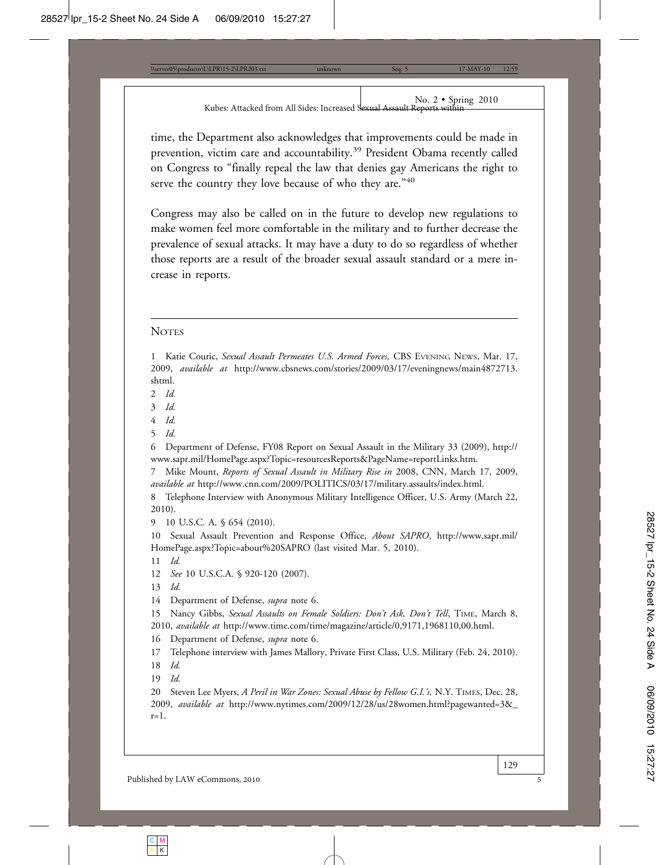time, the Department also acknowledges that improvements could be made in prevention, victim care and accountability.<sup>39</sup> President Obama recently called on Congress to "finally repeal the law that denies gay Americans the right to serve the country they love because of who they are."40

Congress may also be called on in the future to develop new regulations to make women feel more comfortable in the military and to further decrease the prevalence of sexual attacks. It may have a duty to do so regardless of whether those reports are a result of the broader sexual assault standard or a mere increase in reports.

#### **NOTES**

1 Katie Couric, *Sexual Assault Permeates U.S. Armed Forces,* CBS EVENING NEWS, Mar. 17, 2009, *available at* http://www.cbsnews.com/stories/2009/03/17/eveningnews/main4872713. shtml.

- 2 *Id.*
- 3 *Id.*
- 4 *Id.*
- 5 *Id.*

6 Department of Defense, FY08 Report on Sexual Assault in the Military 33 (2009), http:// www.sapr.mil/HomePage.aspx?Topic=resourcesReports&PageName=reportLinks.htm.

7 Mike Mount, *Reports of Sexual Assault in Military Rise in* 2008, CNN, March 17, 2009, *available at* http://www.cnn.com/2009/POLITICS/03/17/military.assaults/index.html.

8 Telephone Interview with Anonymous Military Intelligence Officer, U.S. Army (March 22, 2010).

9 10 U.S.C. A.  $654$  (2010).

10 Sexual Assault Prevention and Response Office, *About SAPRO*, http://www.sapr.mil/ HomePage.aspx?Topic=about%20SAPRO (last visited Mar. 5, 2010).

11 *Id.*

12 *See* 10 U.S.C.A. § 920-120 (2007).

13 *Id.*

14 Department of Defense, *supra* note 6.

15 Nancy Gibbs, *Sexual Assaults on Female Soldiers: Don't Ask, Don't Tell*, TIME, March 8, 2010, *available at* http://www.time.com/time/magazine/article/0,9171,1968110,00.html.

16 Department of Defense, *supra* note 6.

17 Telephone interview with James Mallory, Private First Class, U.S. Military (Feb. 24, 2010).

18 *Id.*

19 *Id.*

20 Steven Lee Myers, *A Peril in War Zones: Sexual Abuse by Fellow G.I.'s,* N.Y. TIMES, Dec. 28, 2009, *available at* http://www.nytimes.com/2009/12/28/us/28women.html?pagewanted=3&\_  $r=1$ .